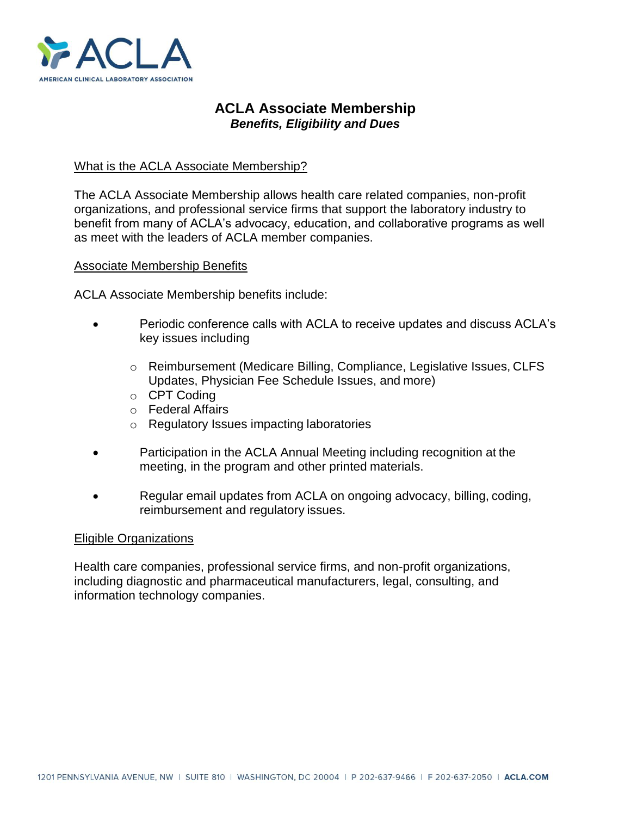

# **ACLA Associate Membership** *Benefits, Eligibility and Dues*

## What is the ACLA Associate Membership?

The ACLA Associate Membership allows health care related companies, non-profit organizations, and professional service firms that support the laboratory industry to benefit from many of ACLA's advocacy, education, and collaborative programs as well as meet with the leaders of ACLA member companies.

#### Associate Membership Benefits

ACLA Associate Membership benefits include:

- Periodic conference calls with ACLA to receive updates and discuss ACLA's key issues including
	- o Reimbursement (Medicare Billing, Compliance, Legislative Issues, CLFS Updates, Physician Fee Schedule Issues, and more)
	- o CPT Coding
	- o Federal Affairs
	- o Regulatory Issues impacting laboratories
- Participation in the ACLA Annual Meeting including recognition at the meeting, in the program and other printed materials.
- Regular email updates from ACLA on ongoing advocacy, billing, coding, reimbursement and regulatory issues.

#### Eligible Organizations

Health care companies, professional service firms, and non-profit organizations, including diagnostic and pharmaceutical manufacturers, legal, consulting, and information technology companies.